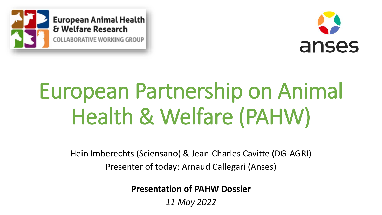



# European Partnership on Animal Health & Welfare (PAHW)

Hein Imberechts (Sciensano) & Jean-Charles Cavitte (DG-AGRI) Presenter of today: Arnaud Callegari (Anses)

**Presentation of PAHW Dossier**

*11 May 2022*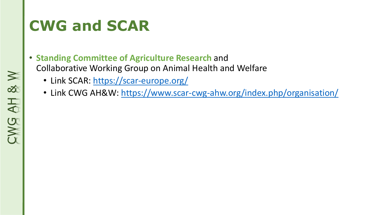# **CWG and SCAR**

- **Standing Committee of Agriculture Research** and Collaborative Working Group on Animal Health and Welfare
	- Link SCAR:<https://scar-europe.org/>
	- Link CWG AH&W:<https://www.scar-cwg-ahw.org/index.php/organisation/>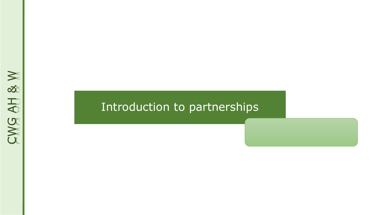# CWG AH & W

### Introduction to partnerships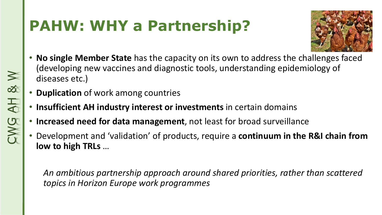# **PAHW: WHY a Partnership?**



- **No single Member State** has the capacity on its own to address the challenges faced (developing new vaccines and diagnostic tools, understanding epidemiology of diseases etc.)
- **Duplication** of work among countries
- **Insufficient AH industry interest or investments** in certain domains
- **Increased need for data management**, not least for broad surveillance
- Development and 'validation' of products, require a **continuum in the R&I chain from low to high TRLs** …

*An ambitious partnership approach around shared priorities, rather than scattered topics in Horizon Europe work programmes*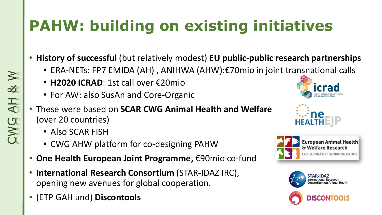# **PAHW: building on existing initiatives**

- **History of successful** (but relatively modest) **EU public-public research partnerships** 
	- ERA-NETs: FP7 EMIDA (AH) , ANIHWA (AHW):€70mio in joint transnational calls
	- **H2020 ICRAD**: 1st call over €20mio
	- For AW: also SusAn and Core-Organic
- These were based on **SCAR CWG Animal Health and Welfare** (over 20 countries)
	- Also SCAR FISH
	- CWG AHW platform for co-designing PAHW
- **One Health European Joint Programme,** €90mio co-fund
- **International Research Consortium** (STAR-IDAZ IRC), opening new avenues for global cooperation.
- (ETP GAH and) **Discontools**









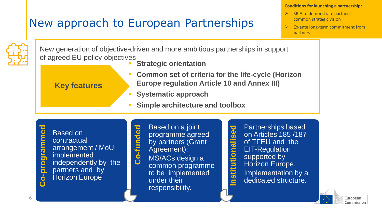### New approach to European Partnerships

### **Conditions for launching a partnership:**

- ➢ SRIA to demonstrate partners' common strategic vision
- ➢ Ex-ante long-term commitment from partners



New generation of objective-driven and more ambitious partnerships in support of agreed EU policy objectives

**Strategic orientation** 

**Key features**

- **Common set of criteria for the life-cycle (Horizon Europe regulation Article 10 and Annex III)**
- **Systematic approach**
- **Simple architecture and toolbox**

**o-program med** Based on contractual arrangement / MoU; implemented independently by the partners and by Horizon Europe

**Co-funded** Based on a joint programme agreed by partners (Grant Agreement); MS/ACs design a common programme to be implemented under their responsibility.

**Institutionalised** Partnerships based on Articles 185 /187 of TFEU and the EIT-Regulation supported by Horizon Europe. Implementation by a **Partnerships based**<br>
on Articles 185 /187<br>
of TFEU and the<br>
EIT-Regulation<br>
supported by<br>
Horizon Europe.<br>
Implementation by a<br>
dedicated structure.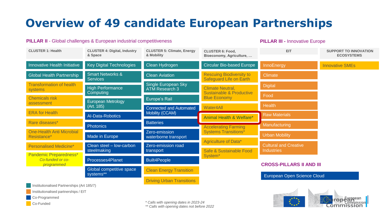### **Overview of 49 candidate European Partnerships**

### **PILLAR II** - Global challenges & European industrial competitiveness

**PILLAR III -** Innovative Europe

| <b>CLUSTER 1: Health</b>                                 | <b>CLUSTER 4: Digital, Industry</b><br>& Space | <b>CLUSTER 5: Climate, Energy</b><br>& Mobility   | <b>CLUSTER 6: Food,</b><br>Bioeconomy, Agriculture,        | <b>EIT</b>                      | <b>SUPPORT TO INNOVATION</b><br><b>ECOSYSTEMS</b> |
|----------------------------------------------------------|------------------------------------------------|---------------------------------------------------|------------------------------------------------------------|---------------------------------|---------------------------------------------------|
| Innovative Health Initiative                             | <b>Key Digital Technologies</b>                | Clean Hydrogen                                    | <b>Circular Bio-based Europe</b>                           | InnoEnergy                      | <b>Innovative SMEs</b>                            |
| <b>Global Health Partnership</b>                         | <b>Smart Networks &amp;</b><br><b>Services</b> | <b>Clean Aviation</b>                             | <b>Rescuing Biodiversity to</b><br>Safeguard Life on Earth | <b>Climate</b>                  |                                                   |
| <b>Transformation of health</b><br>systems               | <b>High Performance</b>                        | Single European Sky<br><b>ATM Research 3</b>      | <b>Climate Neutral,</b>                                    | <b>Digital</b>                  |                                                   |
| <b>Chemicals risk</b>                                    | Computing                                      | <b>Europe's Rail</b>                              | <b>Sustainable &amp; Productive</b><br><b>Blue Economy</b> | Food                            |                                                   |
| assessment                                               | European Metrology<br>(Art. 185)               | <b>Connected and Automated</b><br>Mobility (CCAM) | Water4All                                                  | <b>Health</b>                   |                                                   |
| <b>ERA</b> for Health                                    | Al-Data-Robotics                               |                                                   | Animal Health & Welfare*                                   | <b>Raw Materials</b>            |                                                   |
| Rare diseases*                                           | <b>Photonics</b>                               | <b>Batteries</b>                                  | <b>Accelerating Farming</b>                                | <b>Manufacturing</b>            |                                                   |
| <b>One-Health Anti Microbial</b><br>Resistance*          | Made in Europe                                 | Zero-emission<br>waterborne transport             | <b>Systems Transitions*</b>                                | <b>Urban Mobility</b>           |                                                   |
| <b>Personalised Medicine*</b>                            | Clean steel - low-carbon<br>steelmaking        | Zero-emission road                                | Agriculture of Data*                                       | <b>Cultural and Creative</b>    |                                                   |
| Pandemic Preparedness*<br>Co-funded or co-<br>programmed | Processes4Planet                               | transport                                         | Safe & Sustainable Food<br>System <sup>*</sup>             | <b>Industries</b>               |                                                   |
|                                                          |                                                | <b>Built4People</b>                               |                                                            | <b>CROSS-PILLARS II AND III</b> |                                                   |
|                                                          | Global competitive space<br>systems**          | <b>Clean Energy Transition</b>                    |                                                            | European Open Science Cloud     |                                                   |
| Institutionalised Partnerships (Art 185/7)               |                                                | <b>Driving Urban Transitions</b>                  |                                                            |                                 |                                                   |

Institutionalised partnerships / EIT

Co-Programmed

Co-Funded

*\* Calls with opening dates in 2023-24*

*\*\* Calls with opening dates not before 2022*

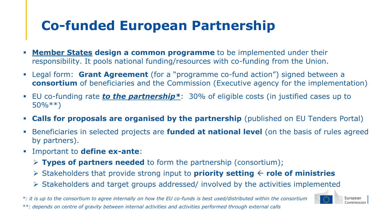### **Co-funded European Partnership**

- **Member States design a common programme** to be implemented under their responsibility. It pools national funding/resources with co-funding from the Union.
- Legal form: **Grant Agreement** (for a "programme co-fund action") signed between a **consortium** of beneficiaries and the Commission (Executive agency for the implementation)
- EU co-funding rate *to the partnership\**: 30% of eligible costs (in justified cases up to  $50\%***$
- **Calls for proposals are organised by the partnership** (published on EU Tenders Portal)
- **EXA** Beneficiaries in selected projects are **funded at national level** (on the basis of rules agreed by partners).
- Important to **define ex-ante**:
	- ➢ **Types of partners needed** to form the partnership (consortium);
	- ➢ Stakeholders that provide strong input to **priority setting role of ministries**
	- ➢ Stakeholders and target groups addressed/ involved by the activities implemented

*\*: it is up to the consortium to agree internally on how the EU co-funds is best used/distributed within the consortium \*\*: depends on centre of gravity between internal activities and activities performed through external calls*

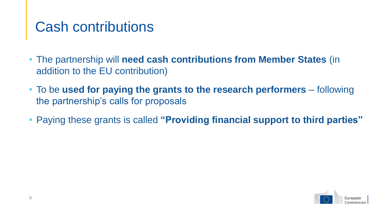### Cash contributions

- The partnership will **need cash contributions from Member States** (in addition to the EU contribution)
- To be **used for paying the grants to the research performers** following the partnership's calls for proposals
- Paying these grants is called **"Providing financial support to third parties"**

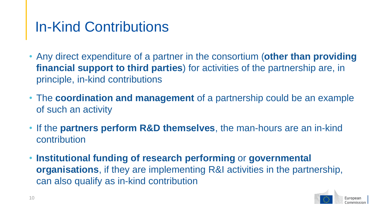### In-Kind Contributions

- Any direct expenditure of a partner in the consortium (**other than providing financial support to third parties**) for activities of the partnership are, in principle, in-kind contributions
- The **coordination and management** of a partnership could be an example of such an activity
- If the **partners perform R&D themselves**, the man-hours are an in-kind contribution
- **Institutional funding of research performing** or **governmental organisations**, if they are implementing R&I activities in the partnership, can also qualify as in-kind contribution

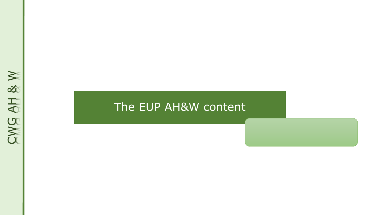# CWG AH & W

### The EUP AH&W content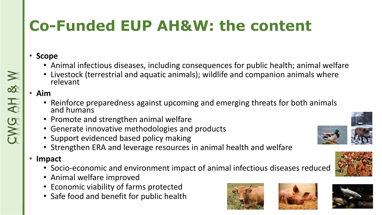# **Co-Funded EUP AH&W: the content**

### • **Scope**

- Animal infectious diseases, including consequences for public health; animal welfare
- Livestock (terrestrial and aquatic animals); wildlife and companion animals where relevant

### • **Aim**

CWG AH & W

- Reinforce preparedness against upcoming and emerging threats for both animals and humans
- Promote and strengthen animal welfare
- Generate innovative methodologies and products
- Support evidenced based policy making
- Strengthen ERA and leverage resources in animal health and welfare
- **Impact**
	- Socio-economic and environment impact of animal infectious diseases reduced
	- Animal welfare improved
	- Economic viability of farms protected
	- Safe food and benefit for public health









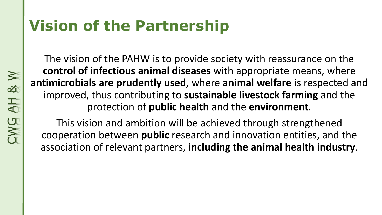## **Vision of the Partnership**

The vision of the PAHW is to provide society with reassurance on the **control of infectious animal diseases** with appropriate means, where **antimicrobials are prudently used**, where **animal welfare** is respected and improved, thus contributing to **sustainable livestock farming** and the protection of **public health** and the **environment**.

This vision and ambition will be achieved through strengthened cooperation between **public** research and innovation entities, and the association of relevant partners, **including the animal health industry**.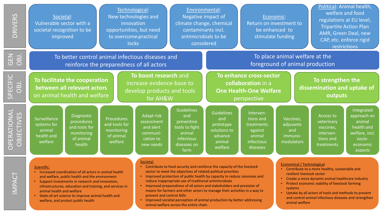| RIVERS<br>$\overline{\bigcap}$                                                                                  | Societal:<br>Vulnerable sector with a<br>societal recognition to be<br>improved                                                                                                                                                                                                                                                                                 |                                                                                | Technological:<br>New technologies and<br>innovation<br>opportunities, but need<br>to overcome-practical<br>locks | Environmental:<br>Negative impact of<br>climate change, chemical<br>contaminants incl.<br>antimicrobials to be<br>considered                                                                                                                                                                                                                                                                                                                                                                                                                                                                            |                                                                                                         | Economic:<br>Return on investment to<br>be enhanced to<br>stimulate funding                   |                                                                                     | Political: Animal health,<br>welfare and food<br>regulations at EU level,<br><b>Tripartite Action Plan</b><br>AMR, Green Deal, new<br>CAP, etc. enforce rigid<br>restrictions                                                                                                                                                                                           |                                                                              |                                                                                                     |  |
|-----------------------------------------------------------------------------------------------------------------|-----------------------------------------------------------------------------------------------------------------------------------------------------------------------------------------------------------------------------------------------------------------------------------------------------------------------------------------------------------------|--------------------------------------------------------------------------------|-------------------------------------------------------------------------------------------------------------------|---------------------------------------------------------------------------------------------------------------------------------------------------------------------------------------------------------------------------------------------------------------------------------------------------------------------------------------------------------------------------------------------------------------------------------------------------------------------------------------------------------------------------------------------------------------------------------------------------------|---------------------------------------------------------------------------------------------------------|-----------------------------------------------------------------------------------------------|-------------------------------------------------------------------------------------|-------------------------------------------------------------------------------------------------------------------------------------------------------------------------------------------------------------------------------------------------------------------------------------------------------------------------------------------------------------------------|------------------------------------------------------------------------------|-----------------------------------------------------------------------------------------------------|--|
| 乙<br>Uリ<br>$\overline{a}$<br>$\bigcirc$                                                                         | To better control animal infectious diseases and<br>reinforce the preparedness of all actors                                                                                                                                                                                                                                                                    |                                                                                |                                                                                                                   |                                                                                                                                                                                                                                                                                                                                                                                                                                                                                                                                                                                                         |                                                                                                         |                                                                                               | To place animal welfare at the<br>foreground of animal production                   |                                                                                                                                                                                                                                                                                                                                                                         |                                                                              |                                                                                                     |  |
| $\breve{\overline{\mathbf{L}}}$<br>$\overline{\textbf{0}}$<br>$\overline{B}$<br>ロ<br>$\overline{O}$<br><u>၉</u> | To facilitate the cooperation<br>between all relevant actors<br>on animal health and welfare                                                                                                                                                                                                                                                                    |                                                                                |                                                                                                                   | To boost research and<br>increase evidence-base to<br>develop products and tools<br>for AH&W                                                                                                                                                                                                                                                                                                                                                                                                                                                                                                            |                                                                                                         | To enhance cross-sector<br>collaboration in a<br><b>One Health-One Welfare</b><br>perspective |                                                                                     |                                                                                                                                                                                                                                                                                                                                                                         | To strengthen the<br>dissemination and uptake of<br>outputs                  |                                                                                                     |  |
| E<br><b>CTIV</b><br>ERAT<br><b>BJE</b><br>a<br>O<br>$\overline{O}$                                              | Surveillance<br>systems for<br>animal<br>health and<br>welfare                                                                                                                                                                                                                                                                                                  | Diagnostic<br>procedures<br>and tools for<br>monitoring<br>of animal<br>health | <b>Procedures</b><br>and tools for<br>monitoring<br>of animal<br>welfare                                          | <b>Adapt risk</b><br>assessment<br>and alert<br>communi-<br>cation to<br>new needs                                                                                                                                                                                                                                                                                                                                                                                                                                                                                                                      | <b>Guidelines</b><br>and<br>preventive<br>tools to fight<br>animal<br>infectious<br>diseases on<br>farm | <b>Guidelines</b><br>and<br>prototype<br>solutions to<br>advance<br>animal<br>welfare         | Interven-<br>tions and<br>treatments<br>against<br>animal<br>infectious<br>diseases | Vaccines,<br>adjuvants<br>and<br>immuno-<br>modulators                                                                                                                                                                                                                                                                                                                  | Access to<br>veterinary<br>vaccines,<br>interven-<br>tions and<br>treatments | Integrated<br>approach on<br>animal<br>health and<br>welfare, incl<br>socio-<br>economic<br>aspects |  |
| <b>MPACT</b>                                                                                                    | Scientific:<br>• Increased coordination of all actors in animal health<br>and welfare, public health and the environment<br>Support investments in research and innovation,<br>infrastructures, education and training, and services in<br>animal health and welfare<br>State-of-art science to improve animal health and<br>welfare, and protect public health |                                                                                |                                                                                                                   | Societal:<br>• Contribute to food security and reinforce the capacity of the livestock<br>sector to meet the objectives of related political priorities<br>• Improved protection of public health by capacity to reduce zoonoses and<br>reduce inappropriate use of traditional antimicrobials<br>• Improved preparedness of all actors and stakeholders and provision of<br>means for farmers and other actors to manage their activities in a way to<br>prevent and control AIDs<br>Improved societal perception of animal production by better addressing<br>animal welfare across the entire chain. |                                                                                                         |                                                                                               |                                                                                     | <b>Economical / Technological</b><br>• Contribute to a more healthy, sustainable and<br>resilient livestock sector<br>Create a more dynamic animal healthcare industry<br>Protect economic viability of livestock farming<br>systems<br>Uptake by all actors of tools and methods to prevent<br>and control animal infectious diseases and strengthen<br>animal welfare |                                                                              |                                                                                                     |  |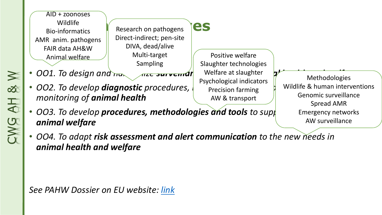

Direct-indirect; pen-site DIVA, dead/alive Multi-target Sampling

- *OO1. To design and harmonize surveillance systems for animal health and welfare*
- *OO2. To develop diagnostic procedures, methodologies and tools to support the monitoring of animal health*

Positive welfare Slaughter technologies Welfare at slaughter Psychological indicators Precision farming AW & transport

Methodologies Wildlife & human interventions Genomic surveillance Spread AMR Emergency networks AW surveillance

- *OO3. To develop procedures, methodologies and tools to support of any methodologies and tools to supp animal welfare*
- *OO4. To adapt risk assessment and alert communication to the new needs in animal health and welfare*

*See PAHW Dossier on EU website: [link](https://ec.europa.eu/info/research-and-innovation/funding/funding-opportunities/funding-programmes-and-open-calls/horizon-europe/european-partnerships-horizon-europe/candidates-food-security_en)*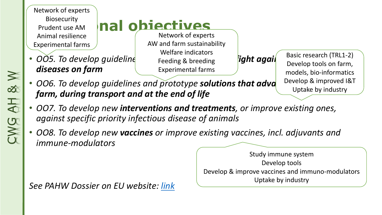Network of experts Biosecurity Prudent use AM Animal resilience Experimental farms

*diseases on farm*

## **nal objectives**

• *OO5. To develop guideline preventive to fight agail* Network of experts AW and farm sustainability Welfare indicators Feeding & breeding Experimental farms

Basic research (TRL1-2) Develop tools on farm, models, bio-informatics Develop & improved I&T Uptake by industry

- **006. To develop guidelines and prototype solutions that adva** *farm, during transport and at the end of life*
- *OO7. To develop new interventions and treatments, or improve existing ones, against specific priority infectious disease of animals*
- *OO8. To develop new vaccines or improve existing vaccines, incl. adjuvants and immune-modulators*

*See PAHW Dossier on EU website: [link](https://ec.europa.eu/info/research-and-innovation/funding/funding-opportunities/funding-programmes-and-open-calls/horizon-europe/european-partnerships-horizon-europe/candidates-food-security_en)*

Study immune system Develop tools Develop & improve vaccines and immuno-modulators Uptake by industry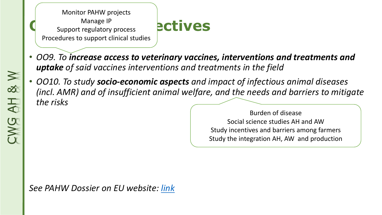Monitor PAHW projects Manage IP Support regulatory process Procedures to support clinical studies

### **Pectives**

- *OO9. To increase access to veterinary vaccines, interventions and treatments and uptake of said vaccines interventions and treatments in the field*
- *OO10. To study socio-economic aspects and impact of infectious animal diseases (incl. AMR) and of insufficient animal welfare, and the needs and barriers to mitigate the risks*

Burden of disease Social science studies AH and AW Study incentives and barriers among farmers Study the integration AH, AW and production

*See PAHW Dossier on EU website: [link](https://ec.europa.eu/info/research-and-innovation/funding/funding-opportunities/funding-programmes-and-open-calls/horizon-europe/european-partnerships-horizon-europe/candidates-food-security_en)*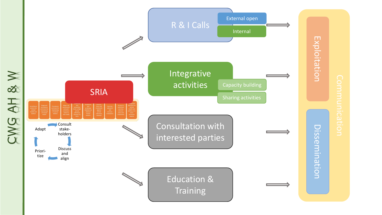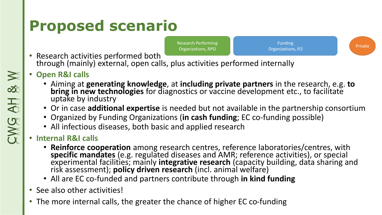# **Proposed scenario**



**Funding** Organizations, FO

- Private
- Research activities performed both through (mainly) external, open calls, plus activities performed internally
- **Open R&I calls**
	- Aiming at **generating knowledge**, at **including private partners** in the research, e.g. **to bring in new technologies** for diagnostics or vaccine development etc., to facilitate uptake by industry
	- Or in case **additional expertise** is needed but not available in the partnership consortium
	- Organized by Funding Organizations (**in cash funding**; EC co-funding possible)
	- All infectious diseases, both basic and applied research

### • **Internal R&I calls**

- **Reinforce cooperation** among research centres, reference laboratories/centres, with **specific mandates** (e.g. regulated diseases and AMR; reference activities), or special experimental facilities; mainly **integrative research** (capacity building, data sharing and risk assessment); **policy driven research** (incl. animal welfare)
- All are EC co-funded and partners contribute through **in kind funding**
- See also other activities!
- The more internal calls, the greater the chance of higher EC co-funding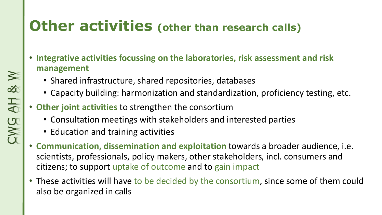### **Other activities (other than research calls)**

- **Integrative activities focussing on the laboratories, risk assessment and risk management**
	- Shared infrastructure, shared repositories, databases
	- Capacity building: harmonization and standardization, proficiency testing, etc.
- **Other joint activities** to strengthen the consortium
	- Consultation meetings with stakeholders and interested parties
	- Education and training activities
- **Communication, dissemination and exploitation** towards a broader audience, i.e. scientists, professionals, policy makers, other stakeholders, incl. consumers and citizens; to support uptake of outcome and to gain impact
- These activities will have to be decided by the consortium, since some of them could also be organized in calls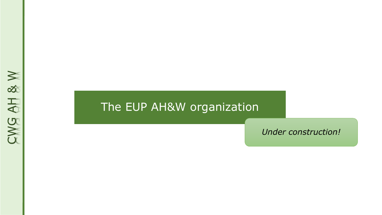# CWG AH & W

### The EUP AH&W organization

*Under construction!*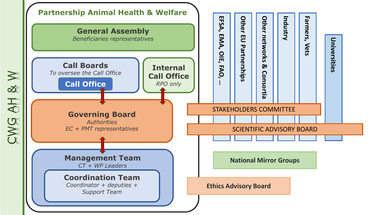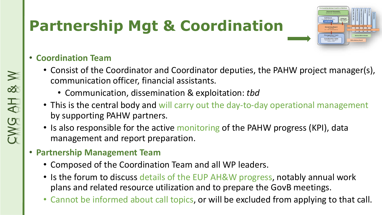# **Partnership Mgt & Coordination**

### • **Coordination Team**

- Consist of the Coordinator and Coordinator deputies, the PAHW project manager(s), communication officer, financial assistants.
	- Communication, dissemination & exploitation: *tbd*
- This is the central body and will carry out the day-to-day operational management by supporting PAHW partners.
- Is also responsible for the active monitoring of the PAHW progress (KPI), data management and report preparation.
- **Partnership Management Team**
	- Composed of the Coordination Team and all WP leaders.
	- Is the forum to discuss details of the EUP AH&W progress, notably annual work plans and related resource utilization and to prepare the GovB meetings.
	- Cannot be informed about call topics, or will be excluded from applying to that call.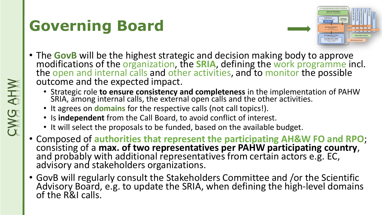# **Governing Board**



- The **GovB** will be the highest strategic and decision making body to approve modifications of the organization, the **SRIA**, defining the work programme incl. the open and internal calls and other activities, and to monitor the possible outcome and the expected impact.
	- Strategic role **to ensure consistency and completeness** in the implementation of PAHW SRIA, among internal calls, the external open calls and the other activities.
	- It agrees on **domains** for the respective calls (not call topics!).
	- Is **independent** from the Call Board, to avoid conflict of interest.
	- It will select the proposals to be funded, based on the available budget.
- Composed of **authorities that represent the participating AH&W FO and RPO**; consisting of a **max. of two representatives per PAHW participating country**, and probably with additional representatives from certain actors e.g. EC, advisory and stakeholders organizations.
- GovB will regularly consult the Stakeholders Committee and /or the Scientific Advisory Board, e.g. to update the SRIA, when defining the high-level domains of the R&I calls.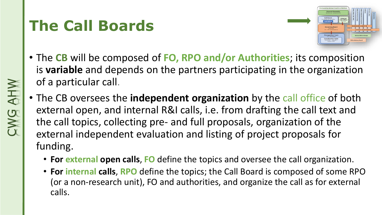# **The Call Boards**



- The **CB** will be composed of **FO, RPO and/or Authorities**; its composition is **variable** and depends on the partners participating in the organization of a particular call.
- The CB oversees the **independent organization** by the call office of both external open, and internal R&I calls, i.e. from drafting the call text and the call topics, collecting pre- and full proposals, organization of the external independent evaluation and listing of project proposals for funding.
	- **For external open calls**, **FO** define the topics and oversee the call organization.
	- **For internal calls**, **RPO** define the topics; the Call Board is composed of some RPO (or a non-research unit), FO and authorities, and organize the call as for external calls.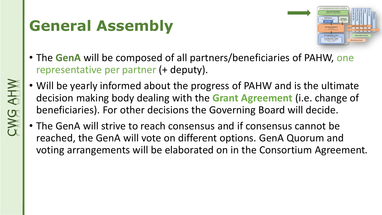# **General Assembly**



- The **GenA** will be composed of all partners/beneficiaries of PAHW, one representative per partner (+ deputy).
- Will be yearly informed about the progress of PAHW and is the ultimate decision making body dealing with the **Grant Agreement** (i.e. change of beneficiaries). For other decisions the Governing Board will decide.
- The GenA will strive to reach consensus and if consensus cannot be reached, the GenA will vote on different options. GenA Quorum and voting arrangements will be elaborated on in the Consortium Agreement.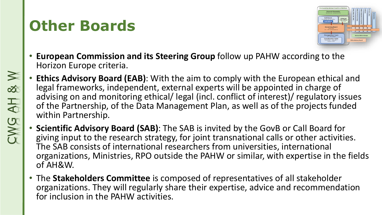### **Other Boards**



- **European Commission and its Steering Group** follow up PAHW according to the Horizon Europe criteria.
- **Ethics Advisory Board (EAB)**: With the aim to comply with the European ethical and legal frameworks, independent, external experts will be appointed in charge of advising on and monitoring ethical/ legal (incl. conflict of interest)/ regulatory issues of the Partnership, of the Data Management Plan, as well as of the projects funded within Partnership.
- **Scientific Advisory Board (SAB)**: The SAB is invited by the GovB or Call Board for giving input to the research strategy, for joint transnational calls or other activities. The SAB consists of international researchers from universities, international organizations, Ministries, RPO outside the PAHW or similar, with expertise in the fields of AH&W.
- The **Stakeholders Committee** is composed of representatives of all stakeholder organizations. They will regularly share their expertise, advice and recommendation for inclusion in the PAHW activities.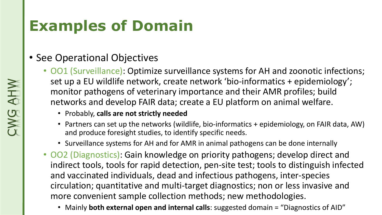## **Examples of Domain**

### • See Operational Objectives

- OO1 (Surveillance): Optimize surveillance systems for AH and zoonotic infections; set up a EU wildlife network, create network 'bio-informatics + epidemiology'; monitor pathogens of veterinary importance and their AMR profiles; build networks and develop FAIR data; create a EU platform on animal welfare.
	- Probably, **calls are not strictly needed**
	- Partners can set up the networks (wildlife, bio-informatics + epidemiology, on FAIR data, AW) and produce foresight studies, to identify specific needs.
	- Surveillance systems for AH and for AMR in animal pathogens can be done internally
- OO2 (Diagnostics): Gain knowledge on priority pathogens; develop direct and indirect tools, tools for rapid detection, pen-site test; tools to distinguish infected and vaccinated individuals, dead and infectious pathogens, inter-species circulation; quantitative and multi-target diagnostics; non or less invasive and more convenient sample collection methods; new methodologies.
	- Mainly **both external open and internal calls**: suggested domain = "Diagnostics of AID"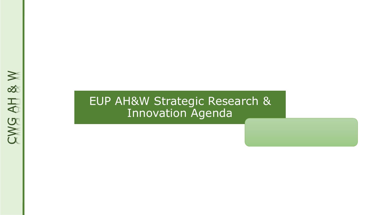### EUP AH&W Strategic Research & Innovation Agenda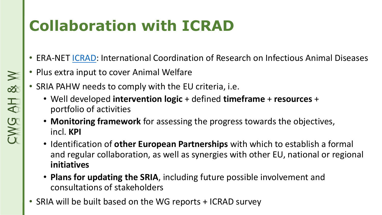# **Collaboration with ICRAD**

- ERA-NET [ICRAD](https://www.icrad.eu/): International Coordination of Research on Infectious Animal Diseases
- Plus extra input to cover Animal Welfare
- SRIA PAHW needs to comply with the EU criteria, i.e.
	- Well developed **intervention logic** + defined **timeframe** + **resources** + portfolio of activities
	- **Monitoring framework** for assessing the progress towards the objectives, incl. **KPI**
	- Identification of **other European Partnerships** with which to establish a formal and regular collaboration, as well as synergies with other EU, national or regional **initiatives**
	- **Plans for updating the SRIA**, including future possible involvement and consultations of stakeholders
- SRIA will be built based on the WG reports + ICRAD survey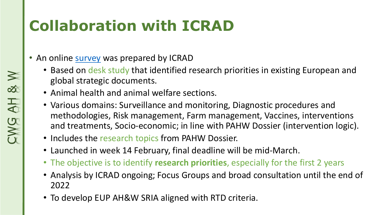# **Collaboration with ICRAD**

- An online **survey** was prepared by ICRAD
	- Based on desk study that identified research priorities in existing European and global strategic documents.
	- Animal health and animal welfare sections.
	- Various domains: Surveillance and monitoring, Diagnostic procedures and methodologies, Risk management, Farm management, Vaccines, interventions and treatments, Socio-economic; in line with PAHW Dossier (intervention logic).
	- Includes the research topics from PAHW Dossier.
	- Launched in week 14 February, final deadline will be mid-March.
	- The objective is to identify **research priorities**, especially for the first 2 years
	- Analysis by ICRAD ongoing; Focus Groups and broad consultation until the end of 2022
	- To develop EUP AH&W SRIA aligned with RTD criteria.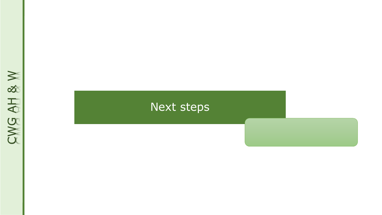